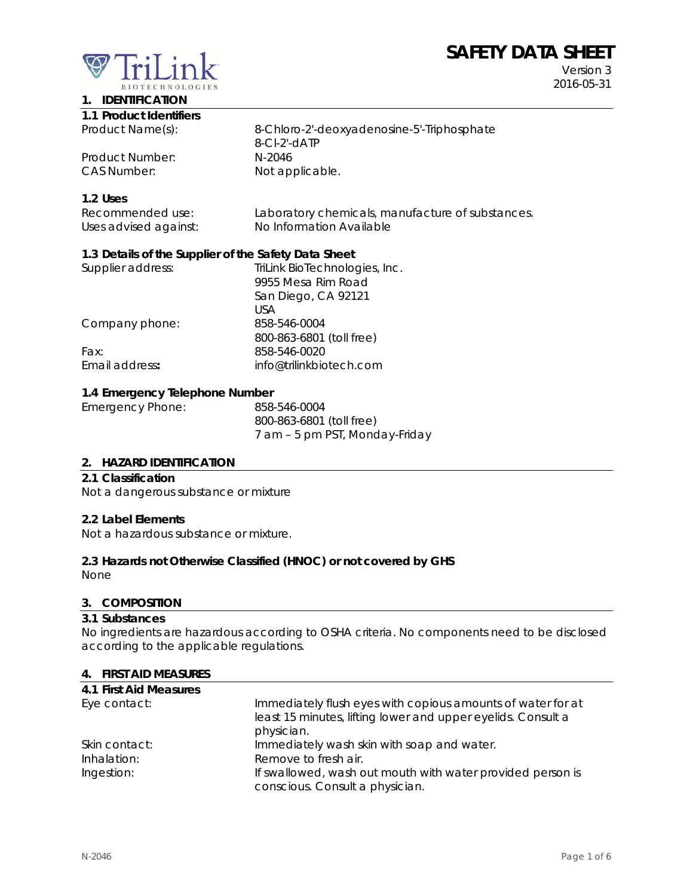# **SAFETY DATA SHEET**



Version 3 2016-05-31

#### **1. IDENTIFICATION 1.1 Product Identifiers**

| Product Name(s): | 8-Chloro-2'-deoxyadenosine-5'-Triphosphate |
|------------------|--------------------------------------------|
|                  | $8$ -CI-2'-dATP                            |
| Product Number:  | N-2046                                     |
| CAS Number:      | Not applicable.                            |
|                  |                                            |

# **1.2 Uses**

| Recommended use:      | Laboratory chemicals, manufacture of substances. |
|-----------------------|--------------------------------------------------|
| Uses advised against: | No Information Available                         |

# **1.3 Details of the Supplier of the Safety Data Sheet**

| Supplier address: | TriLink BioTechnologies, Inc. |
|-------------------|-------------------------------|
|                   | 9955 Mesa Rim Road            |
|                   | San Diego, CA 92121           |
|                   | USA                           |
| Company phone:    | 858-546-0004                  |
|                   | 800-863-6801 (toll free)      |
| Fax:              | 858-546-0020                  |
| Email address:    | info@trilinkbiotech.com       |
|                   |                               |

# **1.4 Emergency Telephone Number**

| Emergency Phone: | 858-546-0004                   |
|------------------|--------------------------------|
|                  | 800-863-6801 (toll free)       |
|                  | 7 am - 5 pm PST, Monday-Friday |

# **2. HAZARD IDENTIFICATION**

#### **2.1 Classification**

Not a dangerous substance or mixture

#### **2.2 Label Elements**

Not a hazardous substance or mixture.

# **2.3 Hazards not Otherwise Classified (HNOC) or not covered by GHS**

None

#### **3. COMPOSITION**

#### **3.1 Substances**

No ingredients are hazardous according to OSHA criteria. No components need to be disclosed according to the applicable regulations.

#### **4. FIRST AID MEASURES**

| 4.1 First Aid Measures |                                                              |
|------------------------|--------------------------------------------------------------|
| Eye contact:           | Immediately flush eyes with copious amounts of water for at  |
|                        | least 15 minutes, lifting lower and upper eyelids. Consult a |
|                        | physician.                                                   |
| Skin contact:          | Immediately wash skin with soap and water.                   |
| Inhalation:            | Remove to fresh air.                                         |
| Ingestion:             | If swallowed, wash out mouth with water provided person is   |
|                        | conscious. Consult a physician.                              |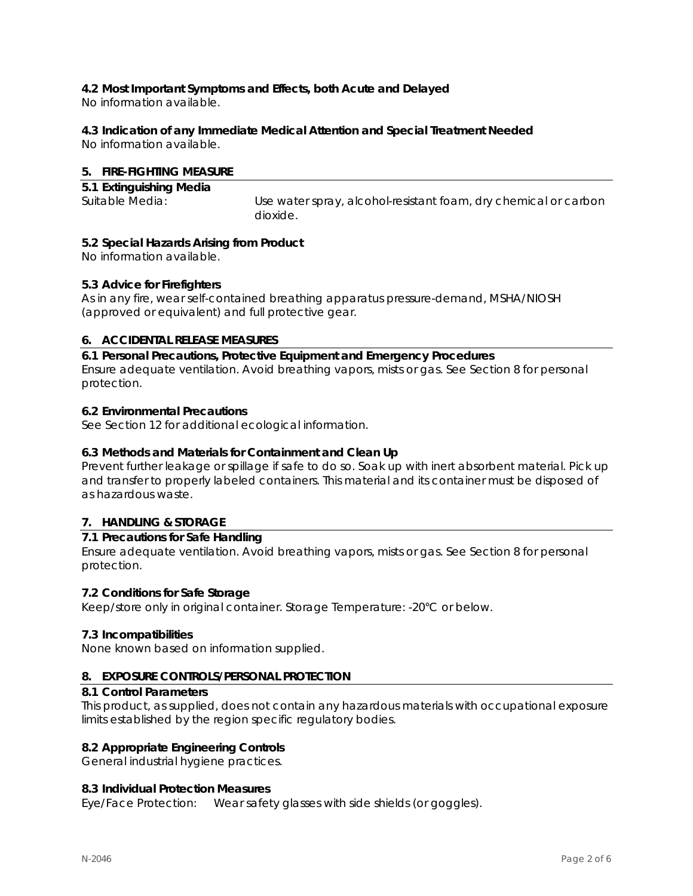# **4.2 Most Important Symptoms and Effects, both Acute and Delayed**

No information available.

# **4.3 Indication of any Immediate Medical Attention and Special Treatment Needed**

No information available.

# **5. FIRE-FIGHTING MEASURE**

| 5.1 Extinguishing Media |                                                                 |
|-------------------------|-----------------------------------------------------------------|
| Suitable Media:         | Use water spray, alcohol-resistant foam, dry chemical or carbon |
|                         | dioxide.                                                        |

# **5.2 Special Hazards Arising from Product**

No information available.

# **5.3 Advice for Firefighters**

As in any fire, wear self-contained breathing apparatus pressure-demand, MSHA/NIOSH (approved or equivalent) and full protective gear.

# **6. ACCIDENTAL RELEASE MEASURES**

**6.1 Personal Precautions, Protective Equipment and Emergency Procedures**  Ensure adequate ventilation. Avoid breathing vapors, mists or gas. See Section 8 for personal protection.

# **6.2 Environmental Precautions**

See Section 12 for additional ecological information.

# **6.3 Methods and Materials for Containment and Clean Up**

Prevent further leakage or spillage if safe to do so. Soak up with inert absorbent material. Pick up and transfer to properly labeled containers. This material and its container must be disposed of as hazardous waste.

# **7. HANDLING & STORAGE**

# **7.1 Precautions for Safe Handling**

Ensure adequate ventilation. Avoid breathing vapors, mists or gas. See Section 8 for personal protection.

# **7.2 Conditions for Safe Storage**

Keep/store only in original container. Storage Temperature: -20°C or below.

# **7.3 Incompatibilities**

None known based on information supplied.

# **8. EXPOSURE CONTROLS/PERSONAL PROTECTION**

# **8.1 Control Parameters**

This product, as supplied, does not contain any hazardous materials with occupational exposure limits established by the region specific regulatory bodies.

# **8.2 Appropriate Engineering Controls**

General industrial hygiene practices.

# **8.3 Individual Protection Measures**

Eye/Face Protection: Wear safety glasses with side shields (or goggles).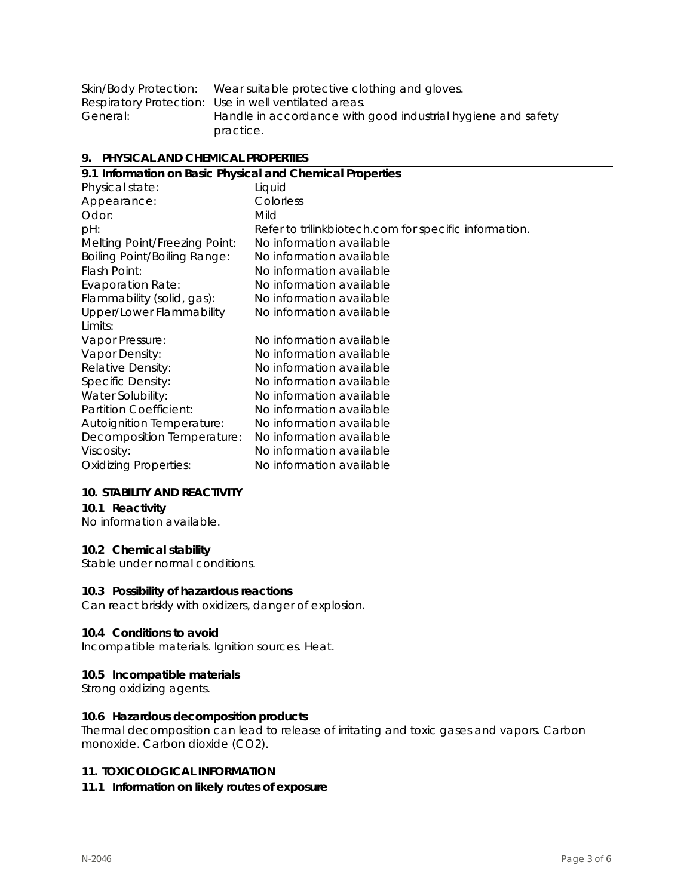| Skin/Body Protection: | Wear suitable protective clothing and gloves.                |
|-----------------------|--------------------------------------------------------------|
|                       | Respiratory Protection: Use in well ventilated areas.        |
| General:              | Handle in accordance with good industrial hygiene and safety |
|                       | practice.                                                    |

#### **9. PHYSICAL AND CHEMICAL PROPERTIES**

| 9.1 Information on Basic Physical and Chemical Properties |                                                       |  |
|-----------------------------------------------------------|-------------------------------------------------------|--|
| Physical state:                                           | Liquid                                                |  |
| Appearance:                                               | Colorless                                             |  |
| Odor:                                                     | Mild                                                  |  |
| pH:                                                       | Refer to trilinkbiotech.com for specific information. |  |
| Melting Point/Freezing Point:                             | No information available                              |  |
| <b>Boiling Point/Boiling Range:</b>                       | No information available                              |  |
| Flash Point:                                              | No information available                              |  |
| <b>Evaporation Rate:</b>                                  | No information available                              |  |
| Flammability (solid, gas):                                | No information available                              |  |
| Upper/Lower Flammability                                  | No information available                              |  |
| Limits:                                                   |                                                       |  |
| Vapor Pressure:                                           | No information available                              |  |
| Vapor Density:                                            | No information available                              |  |
| Relative Density:                                         | No information available                              |  |
| Specific Density:                                         | No information available                              |  |
| Water Solubility:                                         | No information available                              |  |
| Partition Coefficient:                                    | No information available                              |  |
| <b>Autoignition Temperature:</b>                          | No information available                              |  |
| Decomposition Temperature:                                | No information available                              |  |
| Viscosity:                                                | No information available                              |  |
| <b>Oxidizing Properties:</b>                              | No information available                              |  |
|                                                           |                                                       |  |

#### **10. STABILITY AND REACTIVITY**

# **10.1 Reactivity**

No information available.

# **10.2 Chemical stability**

Stable under normal conditions.

#### **10.3 Possibility of hazardous reactions**

Can react briskly with oxidizers, danger of explosion.

#### **10.4 Conditions to avoid**

Incompatible materials. Ignition sources. Heat.

#### **10.5 Incompatible materials**

Strong oxidizing agents.

#### **10.6 Hazardous decomposition products**

Thermal decomposition can lead to release of irritating and toxic gases and vapors. Carbon monoxide. Carbon dioxide (CO2).

#### **11. TOXICOLOGICAL INFORMATION**

# **11.1 Information on likely routes of exposure**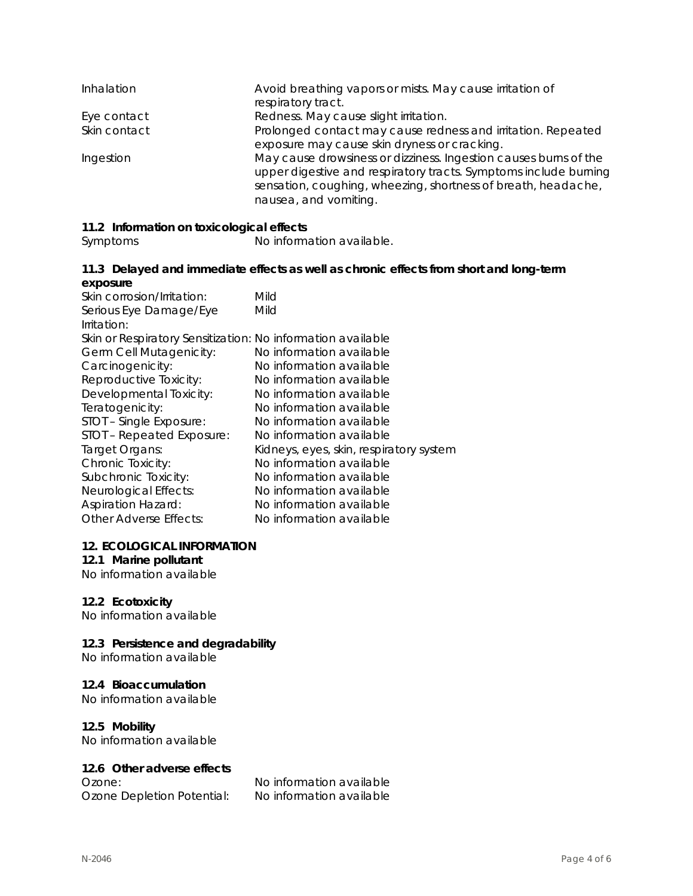| Inhalation   | Avoid breathing vapors or mists. May cause irritation of<br>respiratory tract.                                                                                                                                                 |
|--------------|--------------------------------------------------------------------------------------------------------------------------------------------------------------------------------------------------------------------------------|
| Eye contact  | Redness. May cause slight irritation.                                                                                                                                                                                          |
| Skin contact | Prolonged contact may cause redness and irritation. Repeated<br>exposure may cause skin dryness or cracking.                                                                                                                   |
| Ingestion    | May cause drowsiness or dizziness. Ingestion causes burns of the<br>upper digestive and respiratory tracts. Symptoms include burning<br>sensation, coughing, wheezing, shortness of breath, headache,<br>nausea, and vomiting. |

# **11.2 Information on toxicological effects**

Symptoms No information available.

#### **11.3 Delayed and immediate effects as well as chronic effects from short and long-term exposure**

| Skin corrosion/Irritation:                                  | Mild                                    |
|-------------------------------------------------------------|-----------------------------------------|
| Serious Eye Damage/Eye                                      | Mild                                    |
| Irritation:                                                 |                                         |
| Skin or Respiratory Sensitization: No information available |                                         |
| Germ Cell Mutagenicity:                                     | No information available                |
| Carcinogenicity:                                            | No information available                |
| Reproductive Toxicity:                                      | No information available                |
| Developmental Toxicity:                                     | No information available                |
| Teratogenicity:                                             | No information available                |
| STOT - Single Exposure:                                     | No information available                |
| STOT - Repeated Exposure:                                   | No information available                |
| Target Organs:                                              | Kidneys, eyes, skin, respiratory system |
| Chronic Toxicity:                                           | No information available                |
| Subchronic Toxicity:                                        | No information available                |
| Neurological Effects:                                       | No information available                |
| <b>Aspiration Hazard:</b>                                   | No information available                |
| Other Adverse Effects:                                      | No information available                |

#### **12. ECOLOGICAL INFORMATION**

# **12.1 Marine pollutant**

No information available

# **12.2 Ecotoxicity**

No information available

# **12.3 Persistence and degradability**

No information available

# **12.4 Bioaccumulation**

No information available

# **12.5 Mobility**

No information available

# **12.6 Other adverse effects**

Ozone Depletion Potential: No information available

Ozone: No information available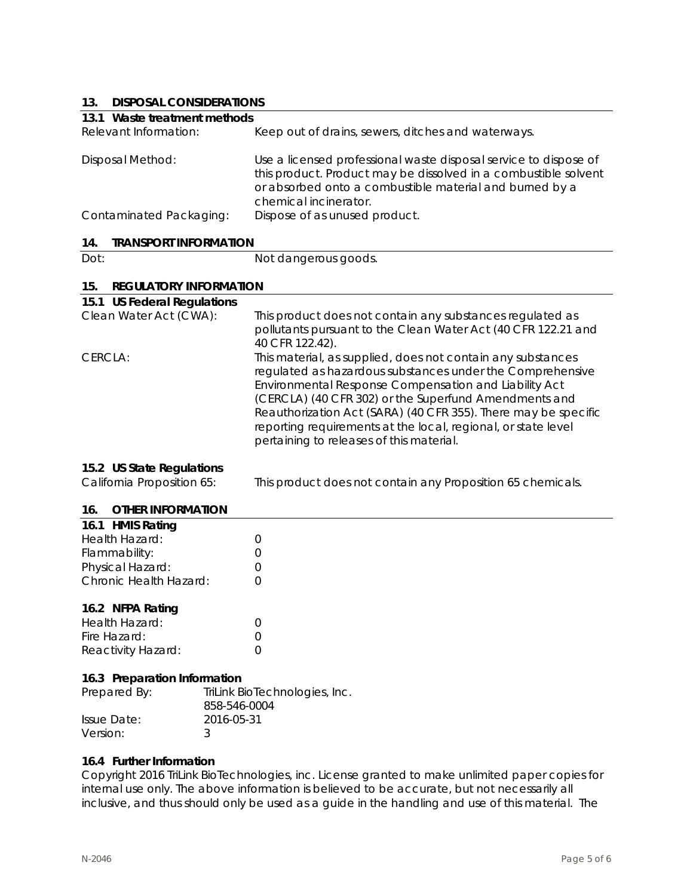# **13. DISPOSAL CONSIDERATIONS**

| 19.<br><b>DISPOSAL CONSIDERATIONS</b>                   |                                                                                                                                                                                                                                                                                                                                                                                                                           |
|---------------------------------------------------------|---------------------------------------------------------------------------------------------------------------------------------------------------------------------------------------------------------------------------------------------------------------------------------------------------------------------------------------------------------------------------------------------------------------------------|
| 13.1 Waste treatment methods                            |                                                                                                                                                                                                                                                                                                                                                                                                                           |
| Relevant Information:                                   | Keep out of drains, sewers, ditches and waterways.                                                                                                                                                                                                                                                                                                                                                                        |
| Disposal Method:                                        | Use a licensed professional waste disposal service to dispose of<br>this product. Product may be dissolved in a combustible solvent<br>or absorbed onto a combustible material and burned by a<br>chemical incinerator.                                                                                                                                                                                                   |
| Contaminated Packaging:                                 | Dispose of as unused product.                                                                                                                                                                                                                                                                                                                                                                                             |
| 14.<br><b>TRANSPORT INFORMATION</b>                     |                                                                                                                                                                                                                                                                                                                                                                                                                           |
| Dot:                                                    | Not dangerous goods.                                                                                                                                                                                                                                                                                                                                                                                                      |
| 15.<br><b>REGULATORY INFORMATION</b>                    |                                                                                                                                                                                                                                                                                                                                                                                                                           |
| 15.1 US Federal Regulations                             |                                                                                                                                                                                                                                                                                                                                                                                                                           |
| Clean Water Act (CWA):                                  | This product does not contain any substances regulated as<br>pollutants pursuant to the Clean Water Act (40 CFR 122.21 and<br>40 CFR 122.42).                                                                                                                                                                                                                                                                             |
| CERCLA:                                                 | This material, as supplied, does not contain any substances<br>regulated as hazardous substances under the Comprehensive<br>Environmental Response Compensation and Liability Act<br>(CERCLA) (40 CFR 302) or the Superfund Amendments and<br>Reauthorization Act (SARA) (40 CFR 355). There may be specific<br>reporting requirements at the local, regional, or state level<br>pertaining to releases of this material. |
| 15.2 US State Regulations<br>California Proposition 65: | This product does not contain any Proposition 65 chemicals.                                                                                                                                                                                                                                                                                                                                                               |
| <b>OTHER INFORMATION</b><br>16.                         |                                                                                                                                                                                                                                                                                                                                                                                                                           |
|                                                         |                                                                                                                                                                                                                                                                                                                                                                                                                           |

| 16.1 HMIS Rating       |                  |
|------------------------|------------------|
| Health Hazard:         | $\left( \right)$ |
| Flammability:          | $\left( \right)$ |
| Physical Hazard:       | $\left( \right)$ |
| Chronic Health Hazard: | $\left( \right)$ |
|                        |                  |

# **16.2 NFPA Rating**

| Health Hazard:     |                  |
|--------------------|------------------|
| Fire Hazard:       | $\left( \right)$ |
| Reactivity Hazard: |                  |

#### **16.3 Preparation Information**

| Prepared By: | TriLink BioTechnologies, Inc.<br>858-546-0004 |
|--------------|-----------------------------------------------|
| Issue Date:  | 2016-05-31                                    |
| Version:     |                                               |

# **16.4 Further Information**

Copyright 2016 TriLink BioTechnologies, inc. License granted to make unlimited paper copies for internal use only. The above information is believed to be accurate, but not necessarily all inclusive, and thus should only be used as a guide in the handling and use of this material. The